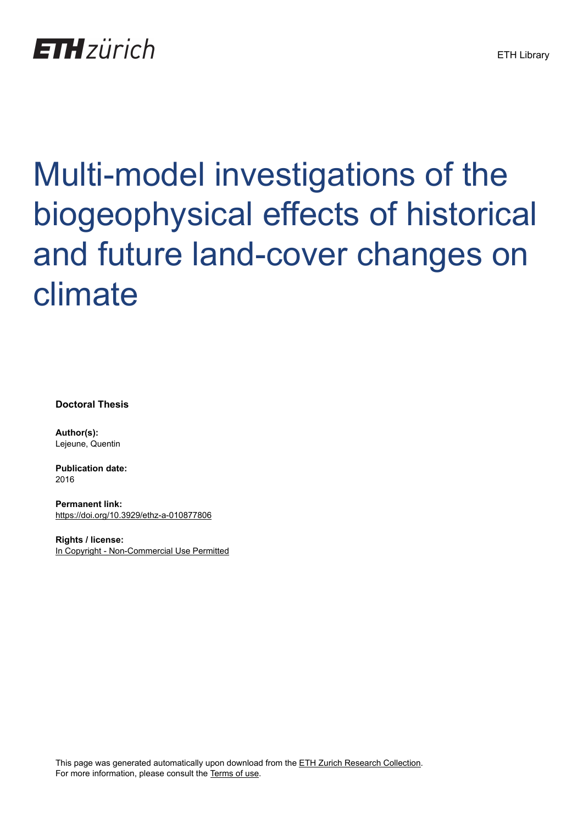## **ETH** zürich

# Multi-model investigations of the biogeophysical effects of historical and future land-cover changes on climate

**Doctoral Thesis**

**Author(s):** Lejeune, Quentin

**Publication date:** 2016

**Permanent link:** <https://doi.org/10.3929/ethz-a-010877806>

**Rights / license:** [In Copyright - Non-Commercial Use Permitted](http://rightsstatements.org/page/InC-NC/1.0/)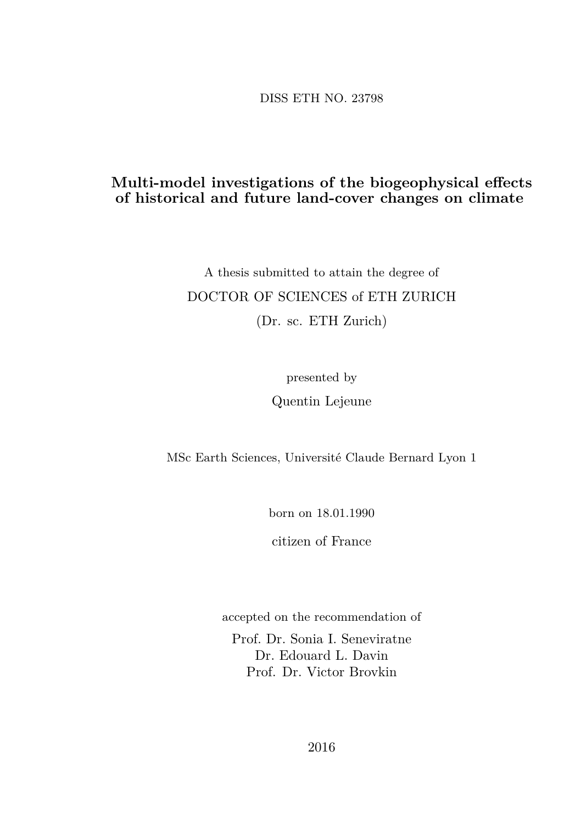DISS ETH NO. 23798

#### **Multi-model investigations of the biogeophysical effects of historical and future land-cover changes on climate**

#### A thesis submitted to attain the degree of DOCTOR OF SCIENCES of ETH ZURICH (Dr. sc. ETH Zurich)

presented by Quentin Lejeune

MSc Earth Sciences, Université Claude Bernard Lyon 1

born on 18.01.1990

citizen of France

accepted on the recommendation of

Prof. Dr. Sonia I. Seneviratne Dr. Edouard L. Davin Prof. Dr. Victor Brovkin

2016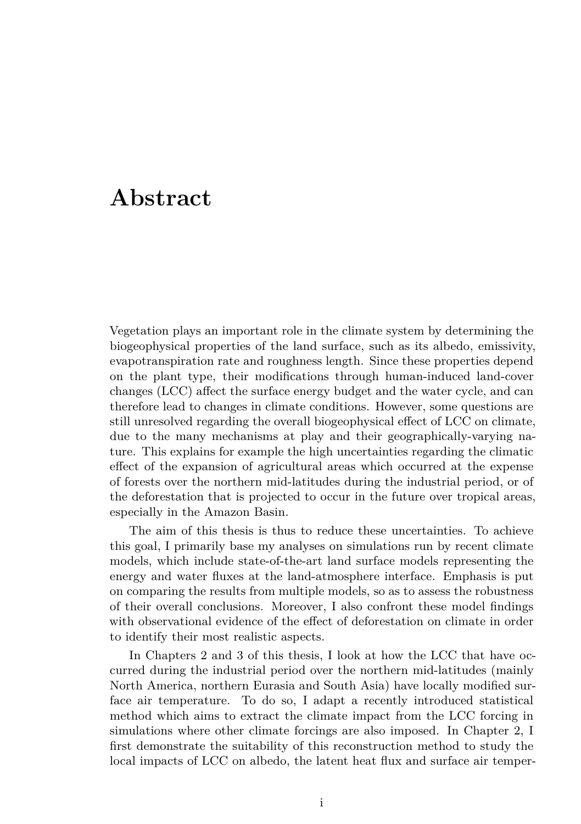#### **Abstract**

Vegetation plays an important role in the climate system by determining the biogeophysical properties of the land surface, such as its albedo, emissivity, evapotranspiration rate and roughness length. Since these properties depend on the plant type, their modifications through human-induced land-cover changes (LCC) affect the surface energy budget and the water cycle, and can therefore lead to changes in climate conditions. However, some questions are still unresolved regarding the overall biogeophysical effect of LCC on climate, due to the many mechanisms at play and their geographically-varying nature. This explains for example the high uncertainties regarding the climatic effect of the expansion of agricultural areas which occurred at the expense of forests over the northern mid-latitudes during the industrial period, or of the deforestation that is projected to occur in the future over tropical areas, especially in the Amazon Basin.

The aim of this thesis is thus to reduce these uncertainties. To achieve this goal, I primarily base my analyses on simulations run by recent climate models, which include state-of-the-art land surface models representing the energy and water fluxes at the land-atmosphere interface. Emphasis is put on comparing the results from multiple models, so as to assess the robustness of their overall conclusions. Moreover, I also confront these model findings with observational evidence of the effect of deforestation on climate in order to identify their most realistic aspects.

In Chapters 2 and 3 of this thesis, I look at how the LCC that have occurred during the industrial period over the northern mid-latitudes (mainly North America, northern Eurasia and South Asia) have locally modified surface air temperature. To do so, I adapt a recently introduced statistical method which aims to extract the climate impact from the LCC forcing in simulations where other climate forcings are also imposed. In Chapter 2, I first demonstrate the suitability of this reconstruction method to study the local impacts of LCC on albedo, the latent heat flux and surface air temper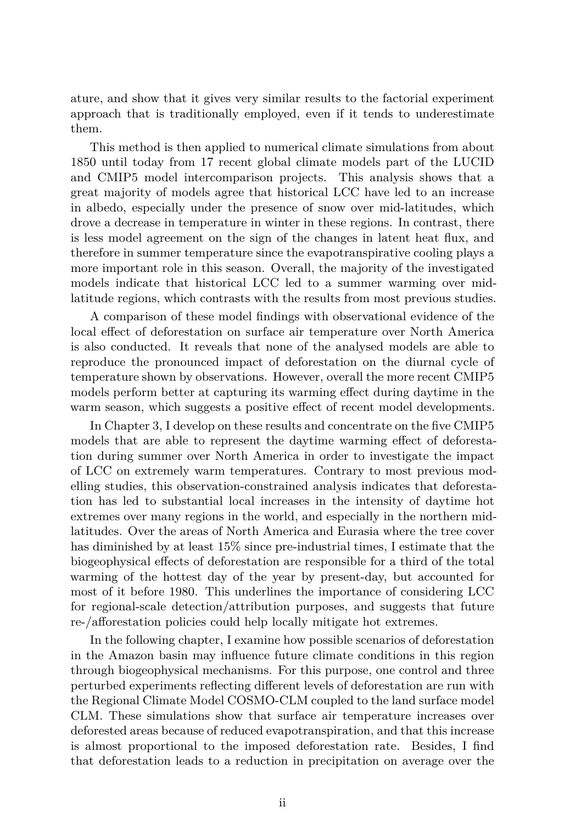ature, and show that it gives very similar results to the factorial experiment approach that is traditionally employed, even if it tends to underestimate them.

This method is then applied to numerical climate simulations from about 1850 until today from 17 recent global climate models part of the LUCID and CMIP5 model intercomparison projects. This analysis shows that a great majority of models agree that historical LCC have led to an increase in albedo, especially under the presence of snow over mid-latitudes, which drove a decrease in temperature in winter in these regions. In contrast, there is less model agreement on the sign of the changes in latent heat flux, and therefore in summer temperature since the evapotranspirative cooling plays a more important role in this season. Overall, the majority of the investigated models indicate that historical LCC led to a summer warming over midlatitude regions, which contrasts with the results from most previous studies.

A comparison of these model findings with observational evidence of the local effect of deforestation on surface air temperature over North America is also conducted. It reveals that none of the analysed models are able to reproduce the pronounced impact of deforestation on the diurnal cycle of temperature shown by observations. However, overall the more recent CMIP5 models perform better at capturing its warming effect during daytime in the warm season, which suggests a positive effect of recent model developments.

In Chapter 3, I develop on these results and concentrate on the five CMIP5 models that are able to represent the daytime warming effect of deforestation during summer over North America in order to investigate the impact of LCC on extremely warm temperatures. Contrary to most previous modelling studies, this observation-constrained analysis indicates that deforestation has led to substantial local increases in the intensity of daytime hot extremes over many regions in the world, and especially in the northern midlatitudes. Over the areas of North America and Eurasia where the tree cover has diminished by at least 15% since pre-industrial times, I estimate that the biogeophysical effects of deforestation are responsible for a third of the total warming of the hottest day of the year by present-day, but accounted for most of it before 1980. This underlines the importance of considering LCC for regional-scale detection/attribution purposes, and suggests that future re-/afforestation policies could help locally mitigate hot extremes.

In the following chapter, I examine how possible scenarios of deforestation in the Amazon basin may influence future climate conditions in this region through biogeophysical mechanisms. For this purpose, one control and three perturbed experiments reflecting different levels of deforestation are run with the Regional Climate Model COSMO-CLM coupled to the land surface model CLM. These simulations show that surface air temperature increases over deforested areas because of reduced evapotranspiration, and that this increase is almost proportional to the imposed deforestation rate. Besides, I find that deforestation leads to a reduction in precipitation on average over the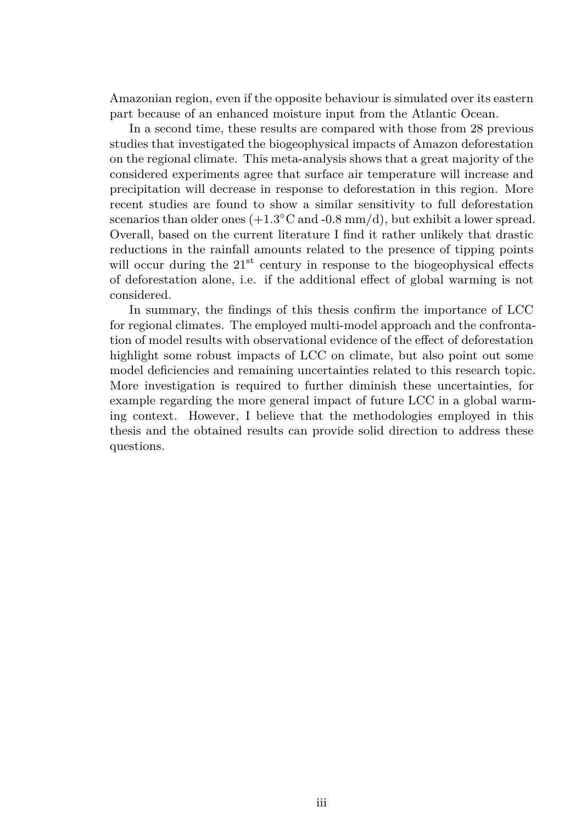Amazonian region, even if the opposite behaviour is simulated over its eastern part because of an enhanced moisture input from the Atlantic Ocean.

In a second time, these results are compared with those from 28 previous studies that investigated the biogeophysical impacts of Amazon deforestation on the regional climate. This meta-analysis shows that a great majority of the considered experiments agree that surface air temperature will increase and precipitation will decrease in response to deforestation in this region. More recent studies are found to show a similar sensitivity to full deforestation scenarios than older ones  $(+1.3 °C \text{ and } -0.8 \text{ mm/d})$ , but exhibit a lower spread. Overall, based on the current literature I find it rather unlikely that drastic reductions in the rainfall amounts related to the presence of tipping points will occur during the  $21^{st}$  century in response to the biogeophysical effects of deforestation alone, i.e. if the additional effect of global warming is not considered.

In summary, the findings of this thesis confirm the importance of LCC for regional climates. The employed multi-model approach and the confrontation of model results with observational evidence of the effect of deforestation highlight some robust impacts of LCC on climate, but also point out some model deficiencies and remaining uncertainties related to this research topic. More investigation is required to further diminish these uncertainties, for example regarding the more general impact of future LCC in a global warming context. However, I believe that the methodologies employed in this thesis and the obtained results can provide solid direction to address these questions.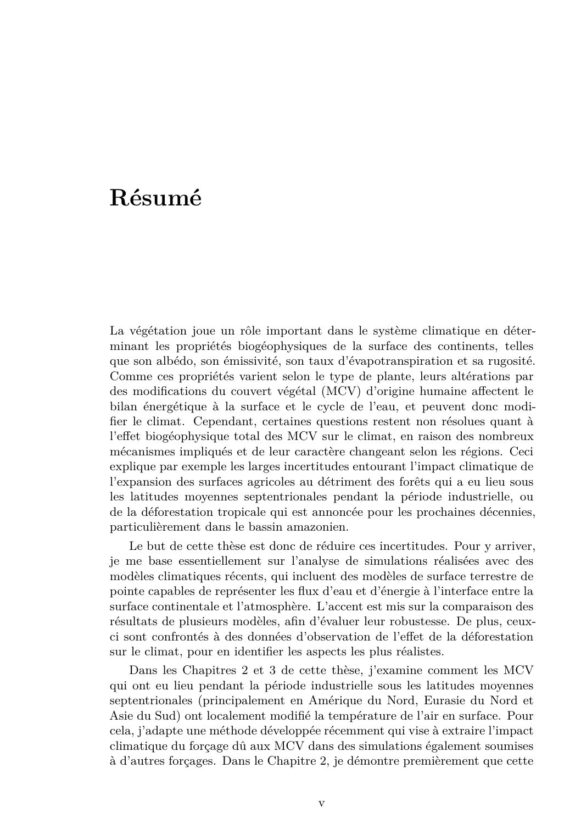### **Résumé**

La végétation joue un rôle important dans le système climatique en déterminant les propriétés biogéophysiques de la surface des continents, telles que son albédo, son émissivité, son taux d'évapotranspiration et sa rugosité. Comme ces propriétés varient selon le type de plante, leurs altérations par des modifications du couvert végétal (MCV) d'origine humaine affectent le bilan énergétique à la surface et le cycle de l'eau, et peuvent donc modifier le climat. Cependant, certaines questions restent non résolues quant à l'effet biogéophysique total des MCV sur le climat, en raison des nombreux mécanismes impliqués et de leur caractère changeant selon les régions. Ceci explique par exemple les larges incertitudes entourant l'impact climatique de l'expansion des surfaces agricoles au détriment des forêts qui a eu lieu sous les latitudes moyennes septentrionales pendant la période industrielle, ou de la déforestation tropicale qui est annoncée pour les prochaines décennies, particulièrement dans le bassin amazonien.

Le but de cette thèse est donc de réduire ces incertitudes. Pour y arriver, je me base essentiellement sur l'analyse de simulations réalisées avec des modèles climatiques récents, qui incluent des modèles de surface terrestre de pointe capables de représenter les flux d'eau et d'énergie à l'interface entre la surface continentale et l'atmosphère. L'accent est mis sur la comparaison des résultats de plusieurs modèles, afin d'évaluer leur robustesse. De plus, ceuxci sont confrontés à des données d'observation de l'effet de la déforestation sur le climat, pour en identifier les aspects les plus réalistes.

Dans les Chapitres 2 et 3 de cette thèse, j'examine comment les MCV qui ont eu lieu pendant la période industrielle sous les latitudes moyennes septentrionales (principalement en Amérique du Nord, Eurasie du Nord et Asie du Sud) ont localement modifié la température de l'air en surface. Pour cela, j'adapte une méthode développée récemment qui vise à extraire l'impact climatique du forçage dû aux MCV dans des simulations également soumises à d'autres forçages. Dans le Chapitre 2, je démontre premièrement que cette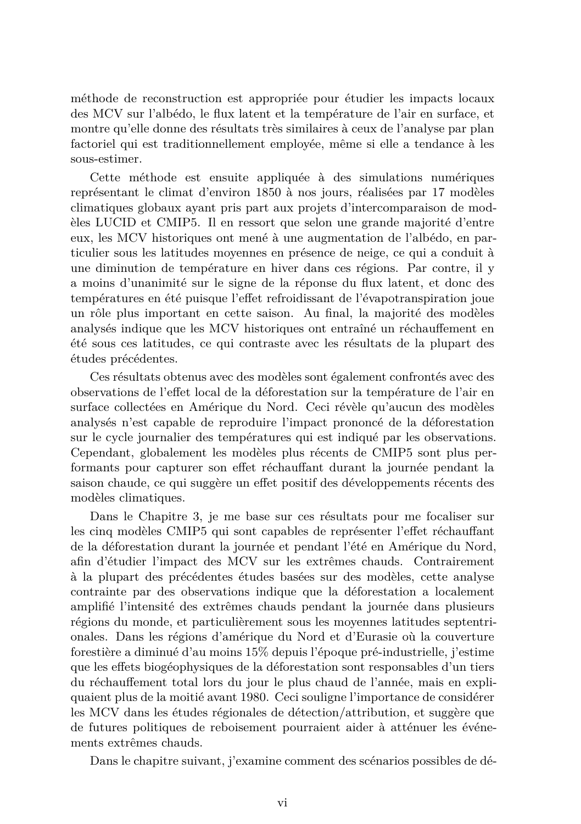méthode de reconstruction est appropriée pour étudier les impacts locaux des MCV sur l'albédo, le flux latent et la température de l'air en surface, et montre qu'elle donne des résultats très similaires à ceux de l'analyse par plan factoriel qui est traditionnellement employée, même si elle a tendance à les sous-estimer.

Cette méthode est ensuite appliquée à des simulations numériques représentant le climat d'environ 1850 à nos jours, réalisées par 17 modèles climatiques globaux ayant pris part aux projets d'intercomparaison de modèles LUCID et CMIP5. Il en ressort que selon une grande majorité d'entre eux, les MCV historiques ont mené à une augmentation de l'albédo, en particulier sous les latitudes moyennes en présence de neige, ce qui a conduit à une diminution de température en hiver dans ces régions. Par contre, il y a moins d'unanimité sur le signe de la réponse du flux latent, et donc des températures en été puisque l'effet refroidissant de l'évapotranspiration joue un rôle plus important en cette saison. Au final, la majorité des modèles analysés indique que les MCV historiques ont entraîné un réchauffement en été sous ces latitudes, ce qui contraste avec les résultats de la plupart des études précédentes.

Ces résultats obtenus avec des modèles sont également confrontés avec des observations de l'effet local de la déforestation sur la température de l'air en surface collectées en Amérique du Nord. Ceci révèle qu'aucun des modèles analysés n'est capable de reproduire l'impact prononcé de la déforestation sur le cycle journalier des températures qui est indiqué par les observations. Cependant, globalement les modèles plus récents de CMIP5 sont plus performants pour capturer son effet réchauffant durant la journée pendant la saison chaude, ce qui suggère un effet positif des développements récents des modèles climatiques.

Dans le Chapitre 3, je me base sur ces résultats pour me focaliser sur les cinq modèles CMIP5 qui sont capables de représenter l'effet réchauffant de la déforestation durant la journée et pendant l'été en Amérique du Nord, afin d'étudier l'impact des MCV sur les extrêmes chauds. Contrairement à la plupart des précédentes études basées sur des modèles, cette analyse contrainte par des observations indique que la déforestation a localement amplifié l'intensité des extrêmes chauds pendant la journée dans plusieurs régions du monde, et particulièrement sous les moyennes latitudes septentrionales. Dans les régions d'amérique du Nord et d'Eurasie où la couverture forestière a diminué d'au moins 15% depuis l'époque pré-industrielle, j'estime que les effets biogéophysiques de la déforestation sont responsables d'un tiers du réchauffement total lors du jour le plus chaud de l'année, mais en expliquaient plus de la moitié avant 1980. Ceci souligne l'importance de considérer les MCV dans les études régionales de détection/attribution, et suggère que de futures politiques de reboisement pourraient aider à atténuer les événements extrêmes chauds.

Dans le chapitre suivant, j'examine comment des scénarios possibles de dé-